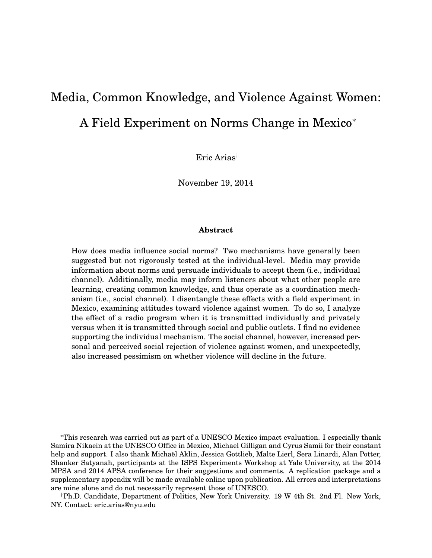# <span id="page-0-0"></span>Media, Common Knowledge, and Violence Against Women: A Field Experiment on Norms Change in Mexico<sup>∗</sup>

Eric Arias†

November 19, 2014

#### **Abstract**

How does media influence social norms? Two mechanisms have generally been suggested but not rigorously tested at the individual-level. Media may provide information about norms and persuade individuals to accept them (i.e., individual channel). Additionally, media may inform listeners about what other people are learning, creating common knowledge, and thus operate as a coordination mechanism (i.e., social channel). I disentangle these effects with a field experiment in Mexico, examining attitudes toward violence against women. To do so, I analyze the effect of a radio program when it is transmitted individually and privately versus when it is transmitted through social and public outlets. I find no evidence supporting the individual mechanism. The social channel, however, increased personal and perceived social rejection of violence against women, and unexpectedly, also increased pessimism on whether violence will decline in the future.

<sup>∗</sup>This research was carried out as part of a UNESCO Mexico impact evaluation. I especially thank Samira Nikaein at the UNESCO Office in Mexico, Michael Gilligan and Cyrus Samii for their constant help and support. I also thank Michael Aklin, Jessica Gottlieb, Malte Lierl, Sera Linardi, Alan Potter, ¨ Shanker Satyanah, participants at the ISPS Experiments Workshop at Yale University, at the 2014 MPSA and 2014 APSA conference for their suggestions and comments. A replication package and a supplementary appendix will be made available online upon publication. All errors and interpretations are mine alone and do not necessarily represent those of UNESCO.

<sup>†</sup>Ph.D. Candidate, Department of Politics, New York University. 19 W 4th St. 2nd Fl. New York, NY. Contact: eric.arias@nyu.edu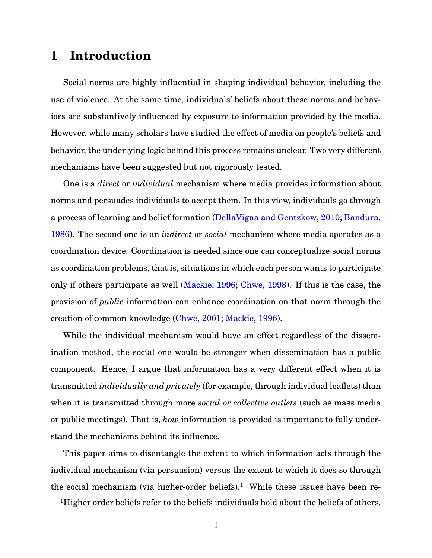# **1 Introduction**

Social norms are highly influential in shaping individual behavior, including the use of violence. At the same time, individuals' beliefs about these norms and behaviors are substantively influenced by exposure to information provided by the media. However, while many scholars have studied the effect of media on people's beliefs and behavior, the underlying logic behind this process remains unclear. Two very different mechanisms have been suggested but not rigorously tested.

One is a *direct* or *individual* mechanism where media provides information about norms and persuades individuals to accept them. In this view, individuals go through a process of learning and belief formation [\(DellaVigna and Gentzkow,](#page-29-0) [2010;](#page-29-0) [Bandura,](#page-29-1) [1986\)](#page-29-1). The second one is an *indirect* or *social* mechanism where media operates as a coordination device. Coordination is needed since one can conceptualize social norms as coordination problems, that is, situations in which each person wants to participate only if others participate as well [\(Mackie,](#page-31-0) [1996;](#page-31-0) [Chwe,](#page-29-2) [1998\)](#page-29-2). If this is the case, the provision of *public* information can enhance coordination on that norm through the creation of common knowledge [\(Chwe,](#page-29-3) [2001;](#page-29-3) [Mackie,](#page-31-0) [1996\)](#page-31-0).

While the individual mechanism would have an effect regardless of the dissemination method, the social one would be stronger when dissemination has a public component. Hence, I argue that information has a very different effect when it is transmitted *individually and privately* (for example, through individual leaflets) than when it is transmitted through more *social or collective outlets* (such as mass media or public meetings). That is, *how* information is provided is important to fully understand the mechanisms behind its influence.

This paper aims to disentangle the extent to which information acts through the individual mechanism (via persuasion) versus the extent to which it does so through the social mechanism (via higher-order beliefs).<sup>[1](#page-1-0)</sup> While these issues have been re-

<span id="page-1-0"></span><sup>&</sup>lt;sup>1</sup>Higher order beliefs refer to the beliefs individuals hold about the beliefs of others,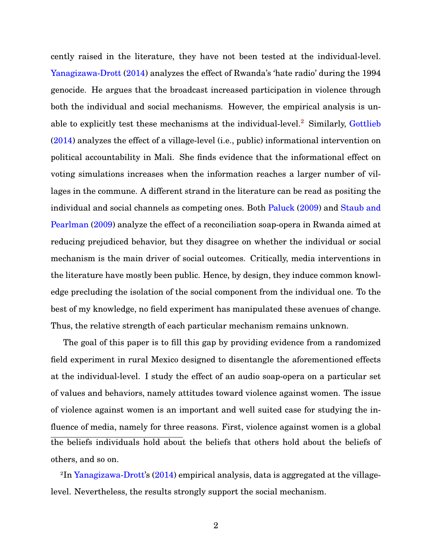cently raised in the literature, they have not been tested at the individual-level. [Yanagizawa-Drott](#page-32-0) [\(2014\)](#page-32-0) analyzes the effect of Rwanda's 'hate radio' during the 1994 genocide. He argues that the broadcast increased participation in violence through both the individual and social mechanisms. However, the empirical analysis is un-able to explicitly test these mechanisms at the individual-level.<sup>[2](#page-2-0)</sup> Similarly, [Gottlieb](#page-30-0) [\(2014\)](#page-30-0) analyzes the effect of a village-level (i.e., public) informational intervention on political accountability in Mali. She finds evidence that the informational effect on voting simulations increases when the information reaches a larger number of villages in the commune. A different strand in the literature can be read as positing the individual and social channels as competing ones. Both [Paluck](#page-31-1) [\(2009\)](#page-31-1) and [Staub and](#page-32-1) [Pearlman](#page-32-1) [\(2009\)](#page-32-1) analyze the effect of a reconciliation soap-opera in Rwanda aimed at reducing prejudiced behavior, but they disagree on whether the individual or social mechanism is the main driver of social outcomes. Critically, media interventions in the literature have mostly been public. Hence, by design, they induce common knowledge precluding the isolation of the social component from the individual one. To the best of my knowledge, no field experiment has manipulated these avenues of change. Thus, the relative strength of each particular mechanism remains unknown.

The goal of this paper is to fill this gap by providing evidence from a randomized field experiment in rural Mexico designed to disentangle the aforementioned effects at the individual-level. I study the effect of an audio soap-opera on a particular set of values and behaviors, namely attitudes toward violence against women. The issue of violence against women is an important and well suited case for studying the influence of media, namely for three reasons. First, violence against women is a global the beliefs individuals hold about the beliefs that others hold about the beliefs of others, and so on.

<span id="page-2-0"></span><sup>2</sup>In [Yanagizawa-Drott'](#page-32-0)s [\(2014\)](#page-32-0) empirical analysis, data is aggregated at the villagelevel. Nevertheless, the results strongly support the social mechanism.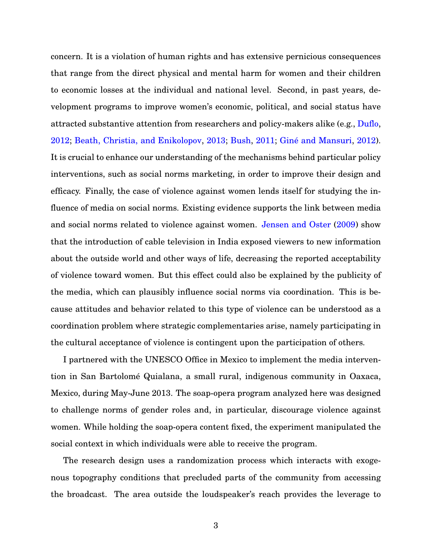concern. It is a violation of human rights and has extensive pernicious consequences that range from the direct physical and mental harm for women and their children to economic losses at the individual and national level. Second, in past years, development programs to improve women's economic, political, and social status have attracted substantive attention from researchers and policy-makers alike (e.g., [Duflo,](#page-29-4)  $2012$ ; [Beath, Christia, and Enikolopov,](#page-29-5)  $2013$ ; [Bush,](#page-29-6)  $2011$ ; Giné and Mansuri,  $2012$ ). It is crucial to enhance our understanding of the mechanisms behind particular policy interventions, such as social norms marketing, in order to improve their design and efficacy. Finally, the case of violence against women lends itself for studying the influence of media on social norms. Existing evidence supports the link between media and social norms related to violence against women. [Jensen and Oster](#page-30-2) [\(2009\)](#page-30-2) show that the introduction of cable television in India exposed viewers to new information about the outside world and other ways of life, decreasing the reported acceptability of violence toward women. But this effect could also be explained by the publicity of the media, which can plausibly influence social norms via coordination. This is because attitudes and behavior related to this type of violence can be understood as a coordination problem where strategic complementaries arise, namely participating in the cultural acceptance of violence is contingent upon the participation of others.

I partnered with the UNESCO Office in Mexico to implement the media intervention in San Bartolomé Quialana, a small rural, indigenous community in Oaxaca, Mexico, during May-June 2013. The soap-opera program analyzed here was designed to challenge norms of gender roles and, in particular, discourage violence against women. While holding the soap-opera content fixed, the experiment manipulated the social context in which individuals were able to receive the program.

The research design uses a randomization process which interacts with exogenous topography conditions that precluded parts of the community from accessing the broadcast. The area outside the loudspeaker's reach provides the leverage to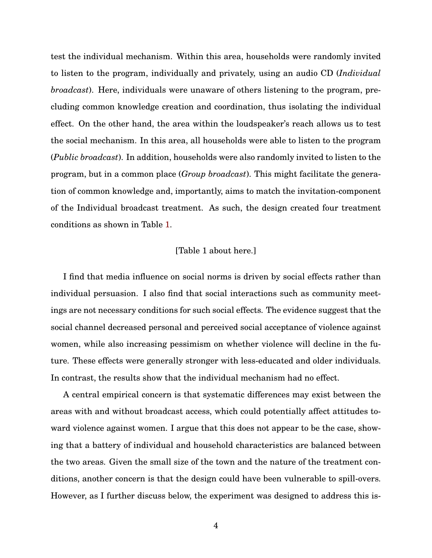test the individual mechanism. Within this area, households were randomly invited to listen to the program, individually and privately, using an audio CD (*Individual broadcast*). Here, individuals were unaware of others listening to the program, precluding common knowledge creation and coordination, thus isolating the individual effect. On the other hand, the area within the loudspeaker's reach allows us to test the social mechanism. In this area, all households were able to listen to the program (*Public broadcast*). In addition, households were also randomly invited to listen to the program, but in a common place (*Group broadcast*). This might facilitate the generation of common knowledge and, importantly, aims to match the invitation-component of the Individual broadcast treatment. As such, the design created four treatment conditions as shown in Table [1.](#page-36-0)

#### [Table 1 about here.]

I find that media influence on social norms is driven by social effects rather than individual persuasion. I also find that social interactions such as community meetings are not necessary conditions for such social effects. The evidence suggest that the social channel decreased personal and perceived social acceptance of violence against women, while also increasing pessimism on whether violence will decline in the future. These effects were generally stronger with less-educated and older individuals. In contrast, the results show that the individual mechanism had no effect.

A central empirical concern is that systematic differences may exist between the areas with and without broadcast access, which could potentially affect attitudes toward violence against women. I argue that this does not appear to be the case, showing that a battery of individual and household characteristics are balanced between the two areas. Given the small size of the town and the nature of the treatment conditions, another concern is that the design could have been vulnerable to spill-overs. However, as I further discuss below, the experiment was designed to address this is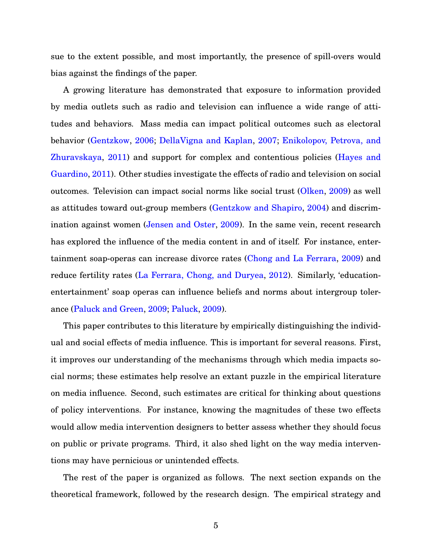sue to the extent possible, and most importantly, the presence of spill-overs would bias against the findings of the paper.

A growing literature has demonstrated that exposure to information provided by media outlets such as radio and television can influence a wide range of attitudes and behaviors. Mass media can impact political outcomes such as electoral behavior [\(Gentzkow,](#page-30-3) [2006;](#page-30-3) [DellaVigna and Kaplan,](#page-29-7) [2007;](#page-29-7) [Enikolopov, Petrova, and](#page-30-4) [Zhuravskaya,](#page-30-4) [2011\)](#page-30-4) and support for complex and contentious policies [\(Hayes and](#page-30-5) [Guardino,](#page-30-5) [2011\)](#page-30-5). Other studies investigate the effects of radio and television on social outcomes. Television can impact social norms like social trust [\(Olken,](#page-31-2) [2009\)](#page-31-2) as well as attitudes toward out-group members [\(Gentzkow and Shapiro,](#page-30-6) [2004\)](#page-30-6) and discrimination against women [\(Jensen and Oster,](#page-30-2) [2009\)](#page-30-2). In the same vein, recent research has explored the influence of the media content in and of itself. For instance, entertainment soap-operas can increase divorce rates [\(Chong and La Ferrara,](#page-29-8) [2009\)](#page-29-8) and reduce fertility rates [\(La Ferrara, Chong, and Duryea,](#page-31-3) [2012\)](#page-31-3). Similarly, 'educationentertainment' soap operas can influence beliefs and norms about intergroup tolerance [\(Paluck and Green,](#page-31-4) [2009;](#page-31-4) [Paluck,](#page-31-1) [2009\)](#page-31-1).

This paper contributes to this literature by empirically distinguishing the individual and social effects of media influence. This is important for several reasons. First, it improves our understanding of the mechanisms through which media impacts social norms; these estimates help resolve an extant puzzle in the empirical literature on media influence. Second, such estimates are critical for thinking about questions of policy interventions. For instance, knowing the magnitudes of these two effects would allow media intervention designers to better assess whether they should focus on public or private programs. Third, it also shed light on the way media interventions may have pernicious or unintended effects.

The rest of the paper is organized as follows. The next section expands on the theoretical framework, followed by the research design. The empirical strategy and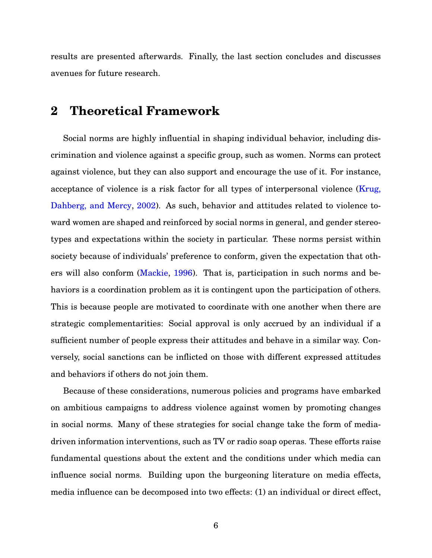results are presented afterwards. Finally, the last section concludes and discusses avenues for future research.

# **2 Theoretical Framework**

Social norms are highly influential in shaping individual behavior, including discrimination and violence against a specific group, such as women. Norms can protect against violence, but they can also support and encourage the use of it. For instance, acceptance of violence is a risk factor for all types of interpersonal violence [\(Krug,](#page-30-7) [Dahberg, and Mercy,](#page-30-7) [2002\)](#page-30-7). As such, behavior and attitudes related to violence toward women are shaped and reinforced by social norms in general, and gender stereotypes and expectations within the society in particular. These norms persist within society because of individuals' preference to conform, given the expectation that others will also conform [\(Mackie,](#page-31-0) [1996\)](#page-31-0). That is, participation in such norms and behaviors is a coordination problem as it is contingent upon the participation of others. This is because people are motivated to coordinate with one another when there are strategic complementarities: Social approval is only accrued by an individual if a sufficient number of people express their attitudes and behave in a similar way. Conversely, social sanctions can be inflicted on those with different expressed attitudes and behaviors if others do not join them.

Because of these considerations, numerous policies and programs have embarked on ambitious campaigns to address violence against women by promoting changes in social norms. Many of these strategies for social change take the form of mediadriven information interventions, such as TV or radio soap operas. These efforts raise fundamental questions about the extent and the conditions under which media can influence social norms. Building upon the burgeoning literature on media effects, media influence can be decomposed into two effects: (1) an individual or direct effect,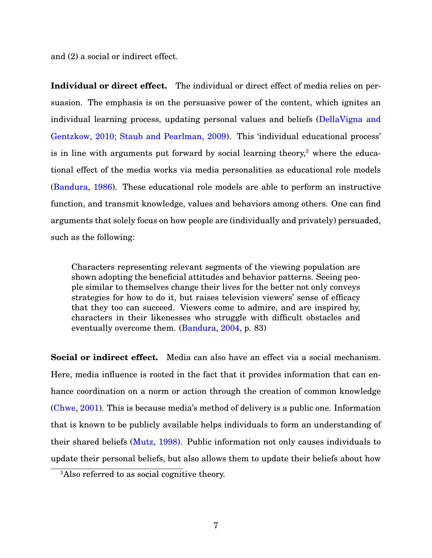and (2) a social or indirect effect.

**Individual or direct effect.** The individual or direct effect of media relies on persuasion. The emphasis is on the persuasive power of the content, which ignites an individual learning process, updating personal values and beliefs [\(DellaVigna and](#page-29-0) [Gentzkow,](#page-29-0) [2010;](#page-29-0) [Staub and Pearlman,](#page-32-1) [2009\)](#page-32-1). This 'individual educational process' is in line with arguments put forward by social learning theory, $3$  where the educational effect of the media works via media personalities as educational role models [\(Bandura,](#page-29-1) [1986\)](#page-29-1). These educational role models are able to perform an instructive function, and transmit knowledge, values and behaviors among others. One can find arguments that solely focus on how people are (individually and privately) persuaded, such as the following:

Characters representing relevant segments of the viewing population are shown adopting the beneficial attitudes and behavior patterns. Seeing people similar to themselves change their lives for the better not only conveys strategies for how to do it, but raises television viewers' sense of efficacy that they too can succeed. Viewers come to admire, and are inspired by, characters in their likenesses who struggle with difficult obstacles and eventually overcome them. [\(Bandura,](#page-29-9) [2004,](#page-29-9) p. 83)

**Social or indirect effect.** Media can also have an effect via a social mechanism. Here, media influence is rooted in the fact that it provides information that can enhance coordination on a norm or action through the creation of common knowledge [\(Chwe,](#page-29-3) [2001\)](#page-29-3). This is because media's method of delivery is a public one. Information that is known to be publicly available helps individuals to form an understanding of their shared beliefs [\(Mutz,](#page-31-5) [1998\)](#page-31-5). Public information not only causes individuals to update their personal beliefs, but also allows them to update their beliefs about how

<span id="page-7-0"></span><sup>3</sup>Also referred to as social cognitive theory.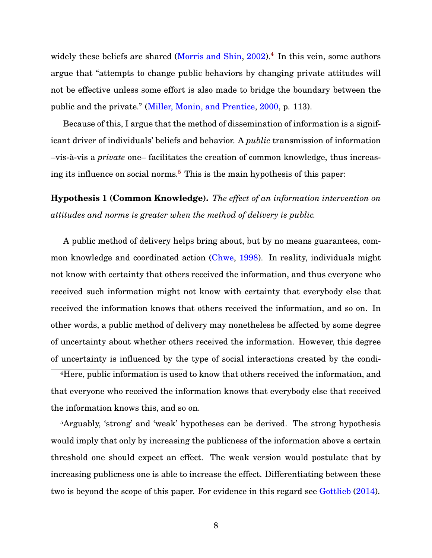widely these beliefs are shared [\(Morris and Shin,](#page-31-6) [2002\)](#page-31-6).<sup>[4](#page-8-0)</sup> In this vein, some authors argue that "attempts to change public behaviors by changing private attitudes will not be effective unless some effort is also made to bridge the boundary between the public and the private." [\(Miller, Monin, and Prentice,](#page-31-7) [2000,](#page-31-7) p. 113).

Because of this, I argue that the method of dissemination of information is a significant driver of individuals' beliefs and behavior. A *public* transmission of information –vis-a-vis a ` *private* one– facilitates the creation of common knowledge, thus increasing its influence on social norms.[5](#page-8-1) This is the main hypothesis of this paper:

<span id="page-8-2"></span>**Hypothesis 1 (Common Knowledge).** *The effect of an information intervention on attitudes and norms is greater when the method of delivery is public.*

A public method of delivery helps bring about, but by no means guarantees, common knowledge and coordinated action [\(Chwe,](#page-29-2) [1998\)](#page-29-2). In reality, individuals might not know with certainty that others received the information, and thus everyone who received such information might not know with certainty that everybody else that received the information knows that others received the information, and so on. In other words, a public method of delivery may nonetheless be affected by some degree of uncertainty about whether others received the information. However, this degree of uncertainty is influenced by the type of social interactions created by the condi-

<span id="page-8-0"></span><sup>4</sup>Here, public information is used to know that others received the information, and that everyone who received the information knows that everybody else that received the information knows this, and so on.

<span id="page-8-1"></span><sup>5</sup>Arguably, 'strong' and 'weak' hypotheses can be derived. The strong hypothesis would imply that only by increasing the publicness of the information above a certain threshold one should expect an effect. The weak version would postulate that by increasing publicness one is able to increase the effect. Differentiating between these two is beyond the scope of this paper. For evidence in this regard see [Gottlieb](#page-30-0) [\(2014\)](#page-30-0).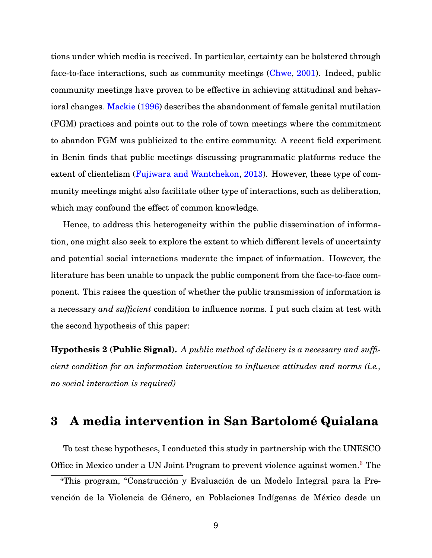tions under which media is received. In particular, certainty can be bolstered through face-to-face interactions, such as community meetings [\(Chwe,](#page-29-3) [2001\)](#page-29-3). Indeed, public community meetings have proven to be effective in achieving attitudinal and behavioral changes. [Mackie](#page-31-0) [\(1996\)](#page-31-0) describes the abandonment of female genital mutilation (FGM) practices and points out to the role of town meetings where the commitment to abandon FGM was publicized to the entire community. A recent field experiment in Benin finds that public meetings discussing programmatic platforms reduce the extent of clientelism [\(Fujiwara and Wantchekon,](#page-30-8) [2013\)](#page-30-8). However, these type of community meetings might also facilitate other type of interactions, such as deliberation, which may confound the effect of common knowledge.

Hence, to address this heterogeneity within the public dissemination of information, one might also seek to explore the extent to which different levels of uncertainty and potential social interactions moderate the impact of information. However, the literature has been unable to unpack the public component from the face-to-face component. This raises the question of whether the public transmission of information is a necessary *and sufficient* condition to influence norms. I put such claim at test with the second hypothesis of this paper:

<span id="page-9-1"></span>**Hypothesis 2 (Public Signal).** *A public method of delivery is a necessary and sufficient condition for an information intervention to influence attitudes and norms (i.e., no social interaction is required)*

## **3 A media intervention in San Bartolome Quialana ´**

To test these hypotheses, I conducted this study in partnership with the UNESCO Office in Mexico under a UN Joint Program to prevent violence against women.<sup>[6](#page-9-0)</sup> The

<span id="page-9-0"></span><sup>&</sup>lt;sup>6</sup>This program, "Construcción y Evaluación de un Modelo Integral para la Prevención de la Violencia de Género, en Poblaciones Indígenas de México desde un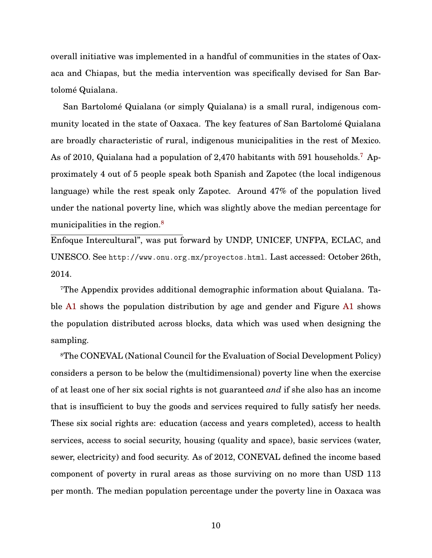overall initiative was implemented in a handful of communities in the states of Oaxaca and Chiapas, but the media intervention was specifically devised for San Bartolomé Quialana.

San Bartolome Quialana (or simply Quialana) is a small rural, indigenous com- ´ munity located in the state of Oaxaca. The key features of San Bartolomé Quialana are broadly characteristic of rural, indigenous municipalities in the rest of Mexico. As of 2010, Quialana had a population of 2,4[7](#page-10-0)0 habitants with 591 households.<sup>7</sup> Approximately 4 out of 5 people speak both Spanish and Zapotec (the local indigenous language) while the rest speak only Zapotec. Around 47% of the population lived under the national poverty line, which was slightly above the median percentage for municipalities in the region.<sup>[8](#page-10-1)</sup>

Enfoque Intercultural", was put forward by UNDP, UNICEF, UNFPA, ECLAC, and UNESCO. See <http://www.onu.org.mx/proyectos.html>. Last accessed: October 26th, 2014.

<span id="page-10-0"></span>7The Appendix provides additional demographic information about Quialana. Table [A1](#page-0-0) shows the population distribution by age and gender and Figure [A1](#page-0-0) shows the population distributed across blocks, data which was used when designing the sampling.

<span id="page-10-1"></span><sup>8</sup>The CONEVAL (National Council for the Evaluation of Social Development Policy) considers a person to be below the (multidimensional) poverty line when the exercise of at least one of her six social rights is not guaranteed *and* if she also has an income that is insufficient to buy the goods and services required to fully satisfy her needs. These six social rights are: education (access and years completed), access to health services, access to social security, housing (quality and space), basic services (water, sewer, electricity) and food security. As of 2012, CONEVAL defined the income based component of poverty in rural areas as those surviving on no more than USD 113 per month. The median population percentage under the poverty line in Oaxaca was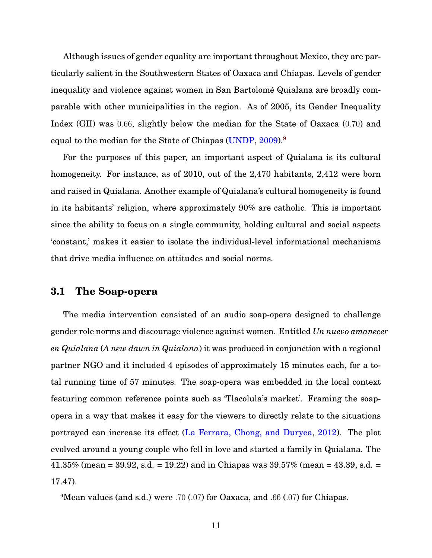Although issues of gender equality are important throughout Mexico, they are particularly salient in the Southwestern States of Oaxaca and Chiapas. Levels of gender inequality and violence against women in San Bartolome Quialana are broadly com- ´ parable with other municipalities in the region. As of 2005, its Gender Inequality Index (GII) was 0.66, slightly below the median for the State of Oaxaca (0.70) and equal to the median for the State of Chiapas [\(UNDP,](#page-32-2) [2009\)](#page-32-2).<sup>[9](#page-11-0)</sup>

For the purposes of this paper, an important aspect of Quialana is its cultural homogeneity. For instance, as of 2010, out of the 2,470 habitants, 2,412 were born and raised in Quialana. Another example of Quialana's cultural homogeneity is found in its habitants' religion, where approximately 90% are catholic. This is important since the ability to focus on a single community, holding cultural and social aspects 'constant,' makes it easier to isolate the individual-level informational mechanisms that drive media influence on attitudes and social norms.

### **3.1 The Soap-opera**

The media intervention consisted of an audio soap-opera designed to challenge gender role norms and discourage violence against women. Entitled *Un nuevo amanecer en Quialana* (*A new dawn in Quialana*) it was produced in conjunction with a regional partner NGO and it included 4 episodes of approximately 15 minutes each, for a total running time of 57 minutes. The soap-opera was embedded in the local context featuring common reference points such as 'Tlacolula's market'. Framing the soapopera in a way that makes it easy for the viewers to directly relate to the situations portrayed can increase its effect [\(La Ferrara, Chong, and Duryea,](#page-31-3) [2012\)](#page-31-3). The plot evolved around a young couple who fell in love and started a family in Quialana. The  $41.35\%$  (mean = 39.92, s.d. = 19.22) and in Chiapas was  $39.57\%$  (mean = 43.39, s.d. = 17.47).

<span id="page-11-0"></span><sup>9</sup>Mean values (and s.d.) were .70 (.07) for Oaxaca, and .66 (.07) for Chiapas.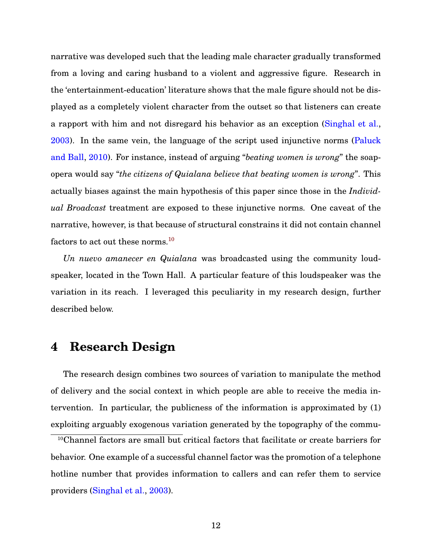narrative was developed such that the leading male character gradually transformed from a loving and caring husband to a violent and aggressive figure. Research in the 'entertainment-education' literature shows that the male figure should not be displayed as a completely violent character from the outset so that listeners can create a rapport with him and not disregard his behavior as an exception [\(Singhal et al.,](#page-32-3) [2003\)](#page-32-3). In the same vein, the language of the script used injunctive norms [\(Paluck](#page-31-8) [and Ball,](#page-31-8) [2010\)](#page-31-8). For instance, instead of arguing "*beating women is wrong*" the soapopera would say "*the citizens of Quialana believe that beating women is wrong*". This actually biases against the main hypothesis of this paper since those in the *Individual Broadcast* treatment are exposed to these injunctive norms. One caveat of the narrative, however, is that because of structural constrains it did not contain channel factors to act out these norms.[10](#page-12-0)

*Un nuevo amanecer en Quialana* was broadcasted using the community loudspeaker, located in the Town Hall. A particular feature of this loudspeaker was the variation in its reach. I leveraged this peculiarity in my research design, further described below.

## **4 Research Design**

The research design combines two sources of variation to manipulate the method of delivery and the social context in which people are able to receive the media intervention. In particular, the publicness of the information is approximated by (1) exploiting arguably exogenous variation generated by the topography of the commu-

<span id="page-12-0"></span><sup>10</sup>Channel factors are small but critical factors that facilitate or create barriers for behavior. One example of a successful channel factor was the promotion of a telephone hotline number that provides information to callers and can refer them to service providers [\(Singhal et al.,](#page-32-3) [2003\)](#page-32-3).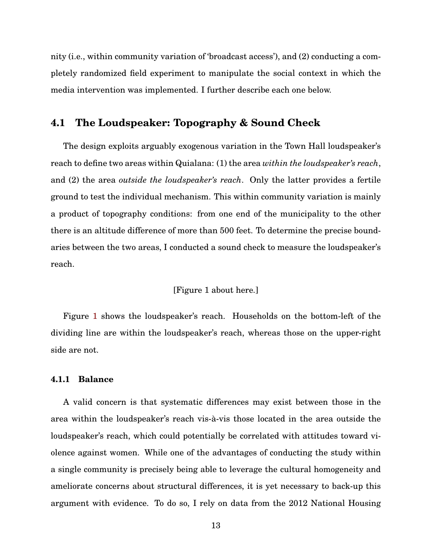nity (i.e., within community variation of 'broadcast access'), and (2) conducting a completely randomized field experiment to manipulate the social context in which the media intervention was implemented. I further describe each one below.

### **4.1 The Loudspeaker: Topography & Sound Check**

The design exploits arguably exogenous variation in the Town Hall loudspeaker's reach to define two areas within Quialana: (1) the area *within the loudspeaker's reach*, and (2) the area *outside the loudspeaker's reach*. Only the latter provides a fertile ground to test the individual mechanism. This within community variation is mainly a product of topography conditions: from one end of the municipality to the other there is an altitude difference of more than 500 feet. To determine the precise boundaries between the two areas, I conducted a sound check to measure the loudspeaker's reach.

### [Figure 1 about here.]

Figure [1](#page-33-0) shows the loudspeaker's reach. Households on the bottom-left of the dividing line are within the loudspeaker's reach, whereas those on the upper-right side are not.

#### **4.1.1 Balance**

A valid concern is that systematic differences may exist between those in the area within the loudspeaker's reach vis-a-vis those located in the area outside the ` loudspeaker's reach, which could potentially be correlated with attitudes toward violence against women. While one of the advantages of conducting the study within a single community is precisely being able to leverage the cultural homogeneity and ameliorate concerns about structural differences, it is yet necessary to back-up this argument with evidence. To do so, I rely on data from the 2012 National Housing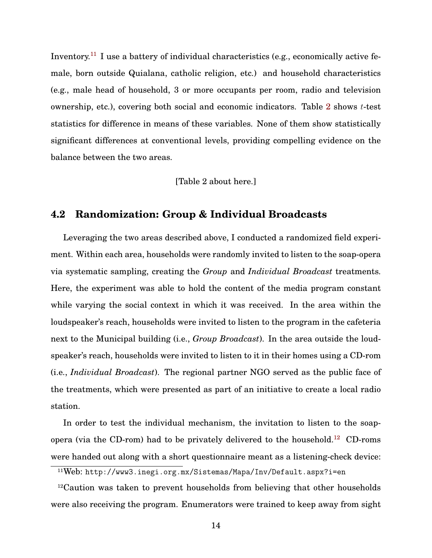Inventory.<sup>[11](#page-14-0)</sup> I use a battery of individual characteristics (e.g., economically active female, born outside Quialana, catholic religion, etc.) and household characteristics (e.g., male head of household, 3 or more occupants per room, radio and television ownership, etc.), covering both social and economic indicators. Table [2](#page-37-0) shows t-test statistics for difference in means of these variables. None of them show statistically significant differences at conventional levels, providing compelling evidence on the balance between the two areas.

#### [Table 2 about here.]

## **4.2 Randomization: Group & Individual Broadcasts**

Leveraging the two areas described above, I conducted a randomized field experiment. Within each area, households were randomly invited to listen to the soap-opera via systematic sampling, creating the *Group* and *Individual Broadcast* treatments. Here, the experiment was able to hold the content of the media program constant while varying the social context in which it was received. In the area within the loudspeaker's reach, households were invited to listen to the program in the cafeteria next to the Municipal building (i.e., *Group Broadcast*). In the area outside the loudspeaker's reach, households were invited to listen to it in their homes using a CD-rom (i.e., *Individual Broadcast*). The regional partner NGO served as the public face of the treatments, which were presented as part of an initiative to create a local radio station.

In order to test the individual mechanism, the invitation to listen to the soap-opera (via the CD-rom) had to be privately delivered to the household.<sup>[12](#page-14-1)</sup> CD-roms were handed out along with a short questionnaire meant as a listening-check device:

<span id="page-14-0"></span><sup>11</sup>Web: <http://www3.inegi.org.mx/Sistemas/Mapa/Inv/Default.aspx?i=en>

<span id="page-14-1"></span><sup>12</sup>Caution was taken to prevent households from believing that other households were also receiving the program. Enumerators were trained to keep away from sight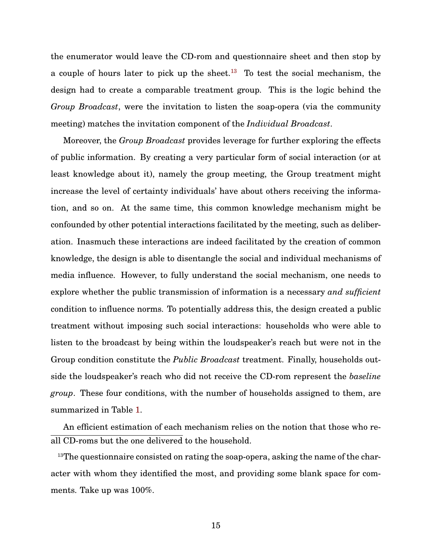the enumerator would leave the CD-rom and questionnaire sheet and then stop by a couple of hours later to pick up the sheet.<sup>[13](#page-15-0)</sup> To test the social mechanism, the design had to create a comparable treatment group. This is the logic behind the *Group Broadcast*, were the invitation to listen the soap-opera (via the community meeting) matches the invitation component of the *Individual Broadcast*.

Moreover, the *Group Broadcast* provides leverage for further exploring the effects of public information. By creating a very particular form of social interaction (or at least knowledge about it), namely the group meeting, the Group treatment might increase the level of certainty individuals' have about others receiving the information, and so on. At the same time, this common knowledge mechanism might be confounded by other potential interactions facilitated by the meeting, such as deliberation. Inasmuch these interactions are indeed facilitated by the creation of common knowledge, the design is able to disentangle the social and individual mechanisms of media influence. However, to fully understand the social mechanism, one needs to explore whether the public transmission of information is a necessary *and sufficient* condition to influence norms. To potentially address this, the design created a public treatment without imposing such social interactions: households who were able to listen to the broadcast by being within the loudspeaker's reach but were not in the Group condition constitute the *Public Broadcast* treatment. Finally, households outside the loudspeaker's reach who did not receive the CD-rom represent the *baseline group*. These four conditions, with the number of households assigned to them, are summarized in Table [1.](#page-36-0)

An efficient estimation of each mechanism relies on the notion that those who reall CD-roms but the one delivered to the household.

<span id="page-15-0"></span><sup>13</sup>The questionnaire consisted on rating the soap-opera, asking the name of the character with whom they identified the most, and providing some blank space for comments. Take up was 100%.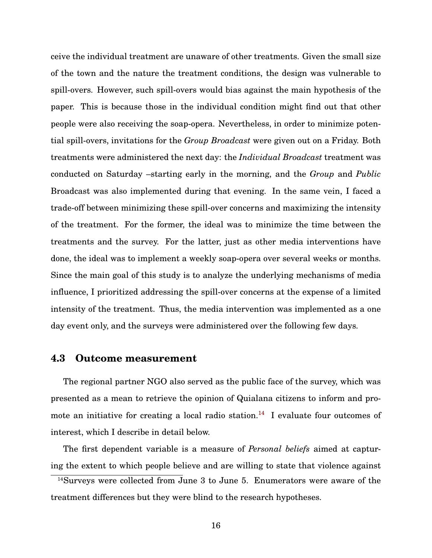ceive the individual treatment are unaware of other treatments. Given the small size of the town and the nature the treatment conditions, the design was vulnerable to spill-overs. However, such spill-overs would bias against the main hypothesis of the paper. This is because those in the individual condition might find out that other people were also receiving the soap-opera. Nevertheless, in order to minimize potential spill-overs, invitations for the *Group Broadcast* were given out on a Friday. Both treatments were administered the next day: the *Individual Broadcast* treatment was conducted on Saturday –starting early in the morning, and the *Group* and *Public* Broadcast was also implemented during that evening. In the same vein, I faced a trade-off between minimizing these spill-over concerns and maximizing the intensity of the treatment. For the former, the ideal was to minimize the time between the treatments and the survey. For the latter, just as other media interventions have done, the ideal was to implement a weekly soap-opera over several weeks or months. Since the main goal of this study is to analyze the underlying mechanisms of media influence, I prioritized addressing the spill-over concerns at the expense of a limited intensity of the treatment. Thus, the media intervention was implemented as a one day event only, and the surveys were administered over the following few days.

### **4.3 Outcome measurement**

The regional partner NGO also served as the public face of the survey, which was presented as a mean to retrieve the opinion of Quialana citizens to inform and pro-mote an initiative for creating a local radio station.<sup>[14](#page-16-0)</sup> I evaluate four outcomes of interest, which I describe in detail below.

The first dependent variable is a measure of *Personal beliefs* aimed at capturing the extent to which people believe and are willing to state that violence against

<span id="page-16-0"></span> $14$ Surveys were collected from June 3 to June 5. Enumerators were aware of the treatment differences but they were blind to the research hypotheses.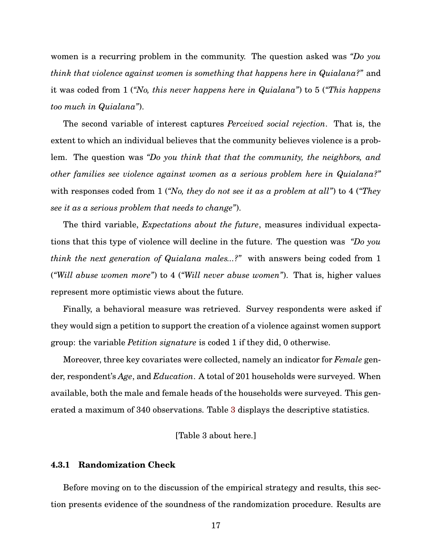women is a recurring problem in the community. The question asked was *"Do you think that violence against women is something that happens here in Quialana?"* and it was coded from 1 (*"No, this never happens here in Quialana"*) to 5 (*"This happens too much in Quialana"*).

The second variable of interest captures *Perceived social rejection*. That is, the extent to which an individual believes that the community believes violence is a problem. The question was *"Do you think that that the community, the neighbors, and other families see violence against women as a serious problem here in Quialana?"* with responses coded from 1 (*"No, they do not see it as a problem at all"*) to 4 (*"They see it as a serious problem that needs to change"*).

The third variable, *Expectations about the future*, measures individual expectations that this type of violence will decline in the future. The question was *"Do you think the next generation of Quialana males...?"* with answers being coded from 1 (*"Will abuse women more"*) to 4 (*"Will never abuse women"*). That is, higher values represent more optimistic views about the future.

Finally, a behavioral measure was retrieved. Survey respondents were asked if they would sign a petition to support the creation of a violence against women support group: the variable *Petition signature* is coded 1 if they did, 0 otherwise.

Moreover, three key covariates were collected, namely an indicator for *Female* gender, respondent's *Age*, and *Education*. A total of 201 households were surveyed. When available, both the male and female heads of the households were surveyed. This generated a maximum of 340 observations. Table [3](#page-38-0) displays the descriptive statistics.

#### [Table 3 about here.]

#### **4.3.1 Randomization Check**

Before moving on to the discussion of the empirical strategy and results, this section presents evidence of the soundness of the randomization procedure. Results are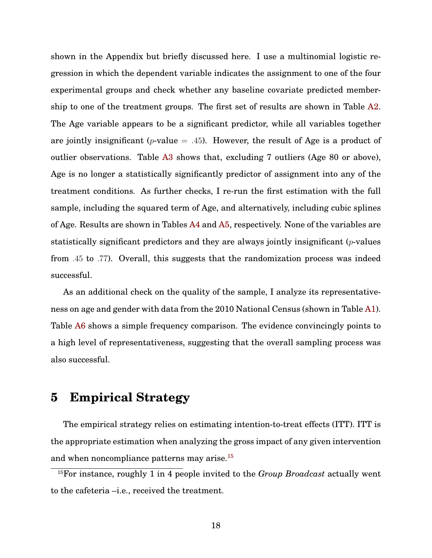shown in the Appendix but briefly discussed here. I use a multinomial logistic regression in which the dependent variable indicates the assignment to one of the four experimental groups and check whether any baseline covariate predicted membership to one of the treatment groups. The first set of results are shown in Table [A2.](#page-0-0) The Age variable appears to be a significant predictor, while all variables together are jointly insignificant (*p*-value  $= .45$ ). However, the result of Age is a product of outlier observations. Table [A3](#page-36-0) shows that, excluding 7 outliers (Age 80 or above), Age is no longer a statistically significantly predictor of assignment into any of the treatment conditions. As further checks, I re-run the first estimation with the full sample, including the squared term of Age, and alternatively, including cubic splines of Age. Results are shown in Tables [A4](#page-37-0) and [A5,](#page-38-0) respectively. None of the variables are statistically significant predictors and they are always jointly insignificant  $(p$ -values from .45 to .77). Overall, this suggests that the randomization process was indeed successful.

As an additional check on the quality of the sample, I analyze its representativeness on age and gender with data from the 2010 National Census (shown in Table [A1\)](#page-0-0). Table [A6](#page-39-0) shows a simple frequency comparison. The evidence convincingly points to a high level of representativeness, suggesting that the overall sampling process was also successful.

# **5 Empirical Strategy**

The empirical strategy relies on estimating intention-to-treat effects (ITT). ITT is the appropriate estimation when analyzing the gross impact of any given intervention and when noncompliance patterns may arise.[15](#page-18-0)

<span id="page-18-0"></span><sup>15</sup>For instance, roughly 1 in 4 people invited to the *Group Broadcast* actually went to the cafeteria –i.e., received the treatment.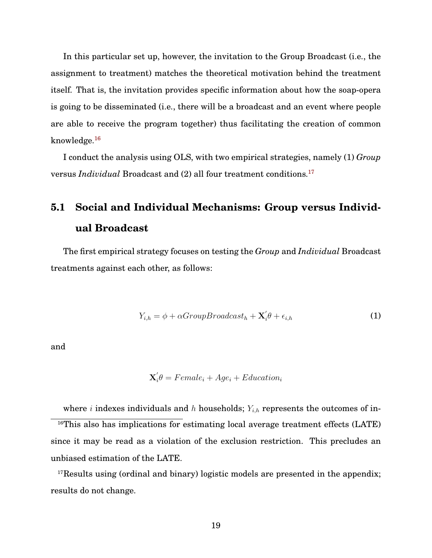In this particular set up, however, the invitation to the Group Broadcast (i.e., the assignment to treatment) matches the theoretical motivation behind the treatment itself. That is, the invitation provides specific information about how the soap-opera is going to be disseminated (i.e., there will be a broadcast and an event where people are able to receive the program together) thus facilitating the creation of common knowledge.[16](#page-19-0)

I conduct the analysis using OLS, with two empirical strategies, namely (1) *Group* versus *Individual* Broadcast and (2) all four treatment conditions.[17](#page-19-1)

# **5.1 Social and Individual Mechanisms: Group versus Individual Broadcast**

The first empirical strategy focuses on testing the *Group* and *Individual* Broadcast treatments against each other, as follows:

<span id="page-19-2"></span>
$$
Y_{i,h} = \phi + \alpha Group Broadcast_h + \mathbf{X}'_i \theta + \epsilon_{i,h}
$$
\n(1)

and

$$
\mathbf{X}_{i}^{\prime}\theta = Female_{i} + Age_{i} + Education_{i}
$$

<span id="page-19-0"></span>where *i* indexes individuals and *h* households;  $Y_{i,h}$  represents the outcomes of in-<sup>16</sup>This also has implications for estimating local average treatment effects (LATE) since it may be read as a violation of the exclusion restriction. This precludes an unbiased estimation of the LATE.

<span id="page-19-1"></span><sup>17</sup>Results using (ordinal and binary) logistic models are presented in the appendix; results do not change.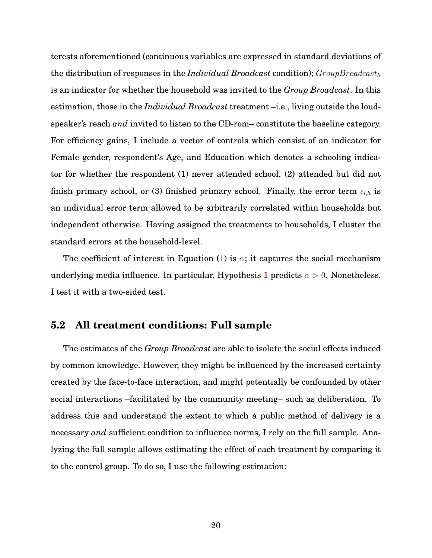terests aforementioned (continuous variables are expressed in standard deviations of the distribution of responses in the *Individual Broadcast* condition);  $GroupBroadcast<sub>h</sub>$ is an indicator for whether the household was invited to the *Group Broadcast*. In this estimation, those in the *Individual Broadcast* treatment –i.e., living outside the loudspeaker's reach *and* invited to listen to the CD-rom– constitute the baseline category. For efficiency gains, I include a vector of controls which consist of an indicator for Female gender, respondent's Age, and Education which denotes a schooling indicator for whether the respondent (1) never attended school, (2) attended but did not finish primary school, or (3) finished primary school. Finally, the error term  $\epsilon_{i,h}$  is an individual error term allowed to be arbitrarily correlated within households but independent otherwise. Having assigned the treatments to households, I cluster the standard errors at the household-level.

The coefficient of interest in Equation [\(1\)](#page-19-2) is  $\alpha$ ; it captures the social mechanism underlying media influence. In particular, Hypothesis [1](#page-8-2) predicts  $\alpha > 0$ . Nonetheless, I test it with a two-sided test.

### **5.2 All treatment conditions: Full sample**

The estimates of the *Group Broadcast* are able to isolate the social effects induced by common knowledge. However, they might be influenced by the increased certainty created by the face-to-face interaction, and might potentially be confounded by other social interactions –facilitated by the community meeting– such as deliberation. To address this and understand the extent to which a public method of delivery is a necessary *and* sufficient condition to influence norms, I rely on the full sample. Analyzing the full sample allows estimating the effect of each treatment by comparing it to the control group. To do so, I use the following estimation: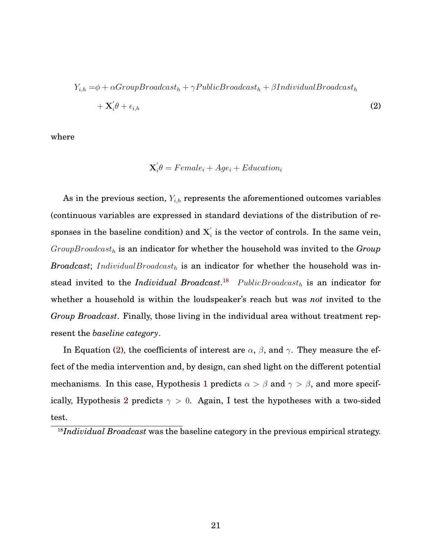$$
Y_{i,h} = \phi + \alpha Group Broadcast_h + \gamma Public Broadcast_h + \beta Individual Broadcast_h + \mathbf{X}'_i \theta + \epsilon_{i,h}
$$
\n(2)

where

<span id="page-21-1"></span>
$$
\mathbf{X}'_i \theta = Female_i + Age_i + Education_i
$$

As in the previous section,  $Y_{i,h}$  represents the aforementioned outcomes variables (continuous variables are expressed in standard deviations of the distribution of responses in the baseline condition) and  $X'_{i}$  $\boldsymbol{e}_i'$  is the vector of controls. In the same vein,  $Group Broadcast<sub>h</sub>$  is an indicator for whether the household was invited to the  $Group$ *Broadcast*; IndividualBroadcast<sub>h</sub> is an indicator for whether the household was instead invited to the *Individual Broadcast*.<sup>[18](#page-21-0)</sup>  $Public Broadcasting$  is an indicator for whether a household is within the loudspeaker's reach but was *not* invited to the *Group Broadcast*. Finally, those living in the individual area without treatment represent the *baseline category*.

In Equation [\(2\)](#page-21-1), the coefficients of interest are  $\alpha,$   $\beta,$  and  $\gamma.$  They measure the effect of the media intervention and, by design, can shed light on the different potential mechanisms. In this case, Hypothesis [1](#page-8-2) predicts  $\alpha > \beta$  and  $\gamma > \beta$ , and more specif-ically, Hypothesis [2](#page-9-1) predicts  $\gamma > 0$ . Again, I test the hypotheses with a two-sided test.

<span id="page-21-0"></span><sup>&</sup>lt;sup>18</sup>*Individual Broadcast* was the baseline category in the previous empirical strategy.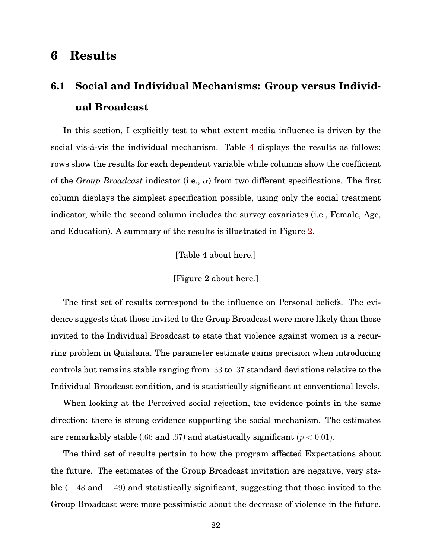# **6 Results**

# **6.1 Social and Individual Mechanisms: Group versus Individual Broadcast**

In this section, I explicitly test to what extent media influence is driven by the social vis-á-vis the individual mechanism. Table [4](#page-39-0) displays the results as follows: rows show the results for each dependent variable while columns show the coefficient of the *Group Broadcast* indicator (i.e.,  $\alpha$ ) from two different specifications. The first column displays the simplest specification possible, using only the social treatment indicator, while the second column includes the survey covariates (i.e., Female, Age, and Education). A summary of the results is illustrated in Figure [2.](#page-34-0)

[Table 4 about here.]

#### [Figure 2 about here.]

The first set of results correspond to the influence on Personal beliefs. The evidence suggests that those invited to the Group Broadcast were more likely than those invited to the Individual Broadcast to state that violence against women is a recurring problem in Quialana. The parameter estimate gains precision when introducing controls but remains stable ranging from .33 to .37 standard deviations relative to the Individual Broadcast condition, and is statistically significant at conventional levels.

When looking at the Perceived social rejection, the evidence points in the same direction: there is strong evidence supporting the social mechanism. The estimates are remarkably stable (.66 and .67) and statistically significant ( $p < 0.01$ ).

The third set of results pertain to how the program affected Expectations about the future. The estimates of the Group Broadcast invitation are negative, very stable (−.48 and −.49) and statistically significant, suggesting that those invited to the Group Broadcast were more pessimistic about the decrease of violence in the future.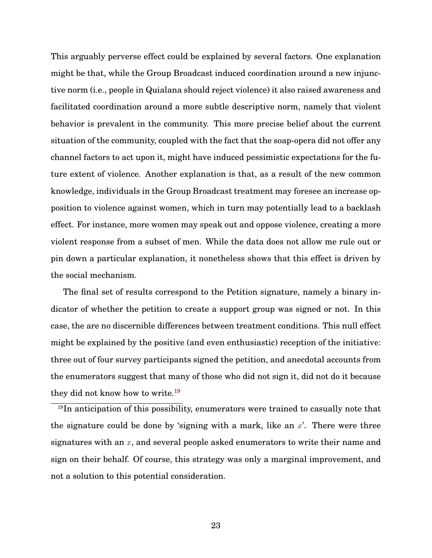This arguably perverse effect could be explained by several factors. One explanation might be that, while the Group Broadcast induced coordination around a new injunctive norm (i.e., people in Quialana should reject violence) it also raised awareness and facilitated coordination around a more subtle descriptive norm, namely that violent behavior is prevalent in the community. This more precise belief about the current situation of the community, coupled with the fact that the soap-opera did not offer any channel factors to act upon it, might have induced pessimistic expectations for the future extent of violence. Another explanation is that, as a result of the new common knowledge, individuals in the Group Broadcast treatment may foresee an increase opposition to violence against women, which in turn may potentially lead to a backlash effect. For instance, more women may speak out and oppose violence, creating a more violent response from a subset of men. While the data does not allow me rule out or pin down a particular explanation, it nonetheless shows that this effect is driven by the social mechanism.

The final set of results correspond to the Petition signature, namely a binary indicator of whether the petition to create a support group was signed or not. In this case, the are no discernible differences between treatment conditions. This null effect might be explained by the positive (and even enthusiastic) reception of the initiative: three out of four survey participants signed the petition, and anecdotal accounts from the enumerators suggest that many of those who did not sign it, did not do it because they did not know how to write.[19](#page-23-0)

<span id="page-23-0"></span><sup>19</sup>In anticipation of this possibility, enumerators were trained to casually note that the signature could be done by 'signing with a mark, like an  $x'$ . There were three signatures with an  $x$ , and several people asked enumerators to write their name and sign on their behalf. Of course, this strategy was only a marginal improvement, and not a solution to this potential consideration.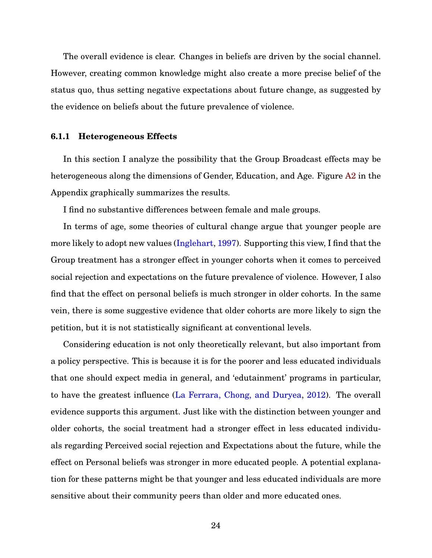The overall evidence is clear. Changes in beliefs are driven by the social channel. However, creating common knowledge might also create a more precise belief of the status quo, thus setting negative expectations about future change, as suggested by the evidence on beliefs about the future prevalence of violence.

#### **6.1.1 Heterogeneous Effects**

In this section I analyze the possibility that the Group Broadcast effects may be heterogeneous along the dimensions of Gender, Education, and Age. Figure [A2](#page-0-0) in the Appendix graphically summarizes the results.

I find no substantive differences between female and male groups.

In terms of age, some theories of cultural change argue that younger people are more likely to adopt new values [\(Inglehart,](#page-30-9) [1997\)](#page-30-9). Supporting this view, I find that the Group treatment has a stronger effect in younger cohorts when it comes to perceived social rejection and expectations on the future prevalence of violence. However, I also find that the effect on personal beliefs is much stronger in older cohorts. In the same vein, there is some suggestive evidence that older cohorts are more likely to sign the petition, but it is not statistically significant at conventional levels.

Considering education is not only theoretically relevant, but also important from a policy perspective. This is because it is for the poorer and less educated individuals that one should expect media in general, and 'edutainment' programs in particular, to have the greatest influence [\(La Ferrara, Chong, and Duryea,](#page-31-3) [2012\)](#page-31-3). The overall evidence supports this argument. Just like with the distinction between younger and older cohorts, the social treatment had a stronger effect in less educated individuals regarding Perceived social rejection and Expectations about the future, while the effect on Personal beliefs was stronger in more educated people. A potential explanation for these patterns might be that younger and less educated individuals are more sensitive about their community peers than older and more educated ones.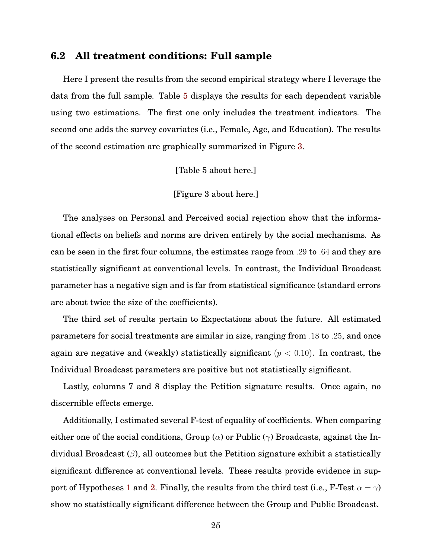### **6.2 All treatment conditions: Full sample**

Here I present the results from the second empirical strategy where I leverage the data from the full sample. Table [5](#page-40-0) displays the results for each dependent variable using two estimations. The first one only includes the treatment indicators. The second one adds the survey covariates (i.e., Female, Age, and Education). The results of the second estimation are graphically summarized in Figure [3.](#page-35-0)

[Table 5 about here.]

[Figure 3 about here.]

The analyses on Personal and Perceived social rejection show that the informational effects on beliefs and norms are driven entirely by the social mechanisms. As can be seen in the first four columns, the estimates range from .29 to .64 and they are statistically significant at conventional levels. In contrast, the Individual Broadcast parameter has a negative sign and is far from statistical significance (standard errors are about twice the size of the coefficients).

The third set of results pertain to Expectations about the future. All estimated parameters for social treatments are similar in size, ranging from .18 to .25, and once again are negative and (weakly) statistically significant ( $p < 0.10$ ). In contrast, the Individual Broadcast parameters are positive but not statistically significant.

Lastly, columns 7 and 8 display the Petition signature results. Once again, no discernible effects emerge.

Additionally, I estimated several F-test of equality of coefficients. When comparing either one of the social conditions, Group ( $\alpha$ ) or Public ( $\gamma$ ) Broadcasts, against the Individual Broadcast  $(\beta)$ , all outcomes but the Petition signature exhibit a statistically significant difference at conventional levels. These results provide evidence in sup-port of Hypotheses [1](#page-8-2) and [2.](#page-9-1) Finally, the results from the third test (i.e., F-Test  $\alpha = \gamma$ ) show no statistically significant difference between the Group and Public Broadcast.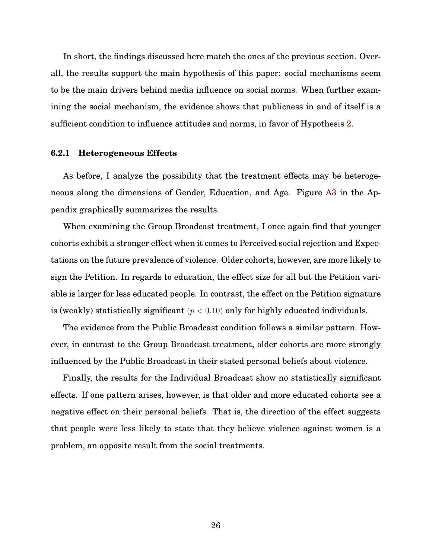In short, the findings discussed here match the ones of the previous section. Overall, the results support the main hypothesis of this paper: social mechanisms seem to be the main drivers behind media influence on social norms. When further examining the social mechanism, the evidence shows that publicness in and of itself is a sufficient condition to influence attitudes and norms, in favor of Hypothesis [2.](#page-9-1)

#### **6.2.1 Heterogeneous Effects**

As before, I analyze the possibility that the treatment effects may be heterogeneous along the dimensions of Gender, Education, and Age. Figure [A3](#page-33-0) in the Appendix graphically summarizes the results.

When examining the Group Broadcast treatment, I once again find that younger cohorts exhibit a stronger effect when it comes to Perceived social rejection and Expectations on the future prevalence of violence. Older cohorts, however, are more likely to sign the Petition. In regards to education, the effect size for all but the Petition variable is larger for less educated people. In contrast, the effect on the Petition signature is (weakly) statistically significant ( $p < 0.10$ ) only for highly educated individuals.

The evidence from the Public Broadcast condition follows a similar pattern. However, in contrast to the Group Broadcast treatment, older cohorts are more strongly influenced by the Public Broadcast in their stated personal beliefs about violence.

Finally, the results for the Individual Broadcast show no statistically significant effects. If one pattern arises, however, is that older and more educated cohorts see a negative effect on their personal beliefs. That is, the direction of the effect suggests that people were less likely to state that they believe violence against women is a problem, an opposite result from the social treatments.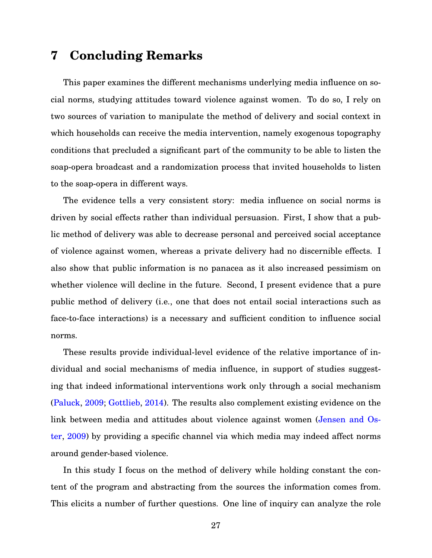# **7 Concluding Remarks**

This paper examines the different mechanisms underlying media influence on social norms, studying attitudes toward violence against women. To do so, I rely on two sources of variation to manipulate the method of delivery and social context in which households can receive the media intervention, namely exogenous topography conditions that precluded a significant part of the community to be able to listen the soap-opera broadcast and a randomization process that invited households to listen to the soap-opera in different ways.

The evidence tells a very consistent story: media influence on social norms is driven by social effects rather than individual persuasion. First, I show that a public method of delivery was able to decrease personal and perceived social acceptance of violence against women, whereas a private delivery had no discernible effects. I also show that public information is no panacea as it also increased pessimism on whether violence will decline in the future. Second, I present evidence that a pure public method of delivery (i.e., one that does not entail social interactions such as face-to-face interactions) is a necessary and sufficient condition to influence social norms.

These results provide individual-level evidence of the relative importance of individual and social mechanisms of media influence, in support of studies suggesting that indeed informational interventions work only through a social mechanism [\(Paluck,](#page-31-1) [2009;](#page-31-1) [Gottlieb,](#page-30-0) [2014\)](#page-30-0). The results also complement existing evidence on the link between media and attitudes about violence against women [\(Jensen and Os](#page-30-2)[ter,](#page-30-2) [2009\)](#page-30-2) by providing a specific channel via which media may indeed affect norms around gender-based violence.

In this study I focus on the method of delivery while holding constant the content of the program and abstracting from the sources the information comes from. This elicits a number of further questions. One line of inquiry can analyze the role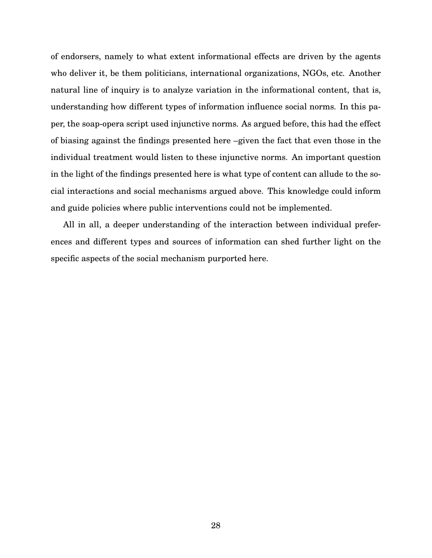of endorsers, namely to what extent informational effects are driven by the agents who deliver it, be them politicians, international organizations, NGOs, etc. Another natural line of inquiry is to analyze variation in the informational content, that is, understanding how different types of information influence social norms. In this paper, the soap-opera script used injunctive norms. As argued before, this had the effect of biasing against the findings presented here –given the fact that even those in the individual treatment would listen to these injunctive norms. An important question in the light of the findings presented here is what type of content can allude to the social interactions and social mechanisms argued above. This knowledge could inform and guide policies where public interventions could not be implemented.

All in all, a deeper understanding of the interaction between individual preferences and different types and sources of information can shed further light on the specific aspects of the social mechanism purported here.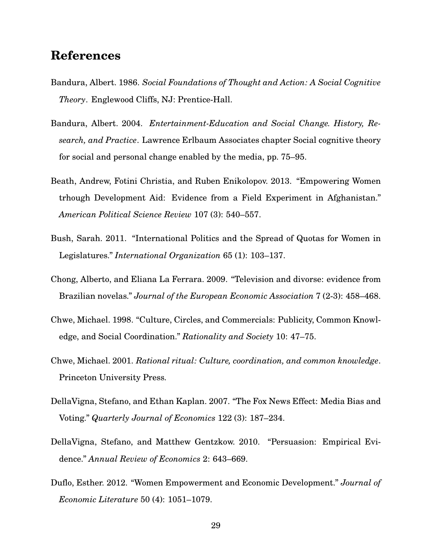# **References**

- <span id="page-29-1"></span>Bandura, Albert. 1986. *Social Foundations of Thought and Action: A Social Cognitive Theory*. Englewood Cliffs, NJ: Prentice-Hall.
- <span id="page-29-9"></span>Bandura, Albert. 2004. *Entertainment-Education and Social Change. History, Research, and Practice*. Lawrence Erlbaum Associates chapter Social cognitive theory for social and personal change enabled by the media, pp. 75–95.
- <span id="page-29-5"></span>Beath, Andrew, Fotini Christia, and Ruben Enikolopov. 2013. "Empowering Women trhough Development Aid: Evidence from a Field Experiment in Afghanistan." *American Political Science Review* 107 (3): 540–557.
- <span id="page-29-6"></span>Bush, Sarah. 2011. "International Politics and the Spread of Quotas for Women in Legislatures." *International Organization* 65 (1): 103–137.
- <span id="page-29-8"></span>Chong, Alberto, and Eliana La Ferrara. 2009. "Television and divorse: evidence from Brazilian novelas." *Journal of the European Economic Association* 7 (2-3): 458–468.
- <span id="page-29-2"></span>Chwe, Michael. 1998. "Culture, Circles, and Commercials: Publicity, Common Knowledge, and Social Coordination." *Rationality and Society* 10: 47–75.
- <span id="page-29-3"></span>Chwe, Michael. 2001. *Rational ritual: Culture, coordination, and common knowledge*. Princeton University Press.
- <span id="page-29-7"></span>DellaVigna, Stefano, and Ethan Kaplan. 2007. "The Fox News Effect: Media Bias and Voting." *Quarterly Journal of Economics* 122 (3): 187–234.
- <span id="page-29-0"></span>DellaVigna, Stefano, and Matthew Gentzkow. 2010. "Persuasion: Empirical Evidence." *Annual Review of Economics* 2: 643–669.
- <span id="page-29-4"></span>Duflo, Esther. 2012. "Women Empowerment and Economic Development." *Journal of Economic Literature* 50 (4): 1051–1079.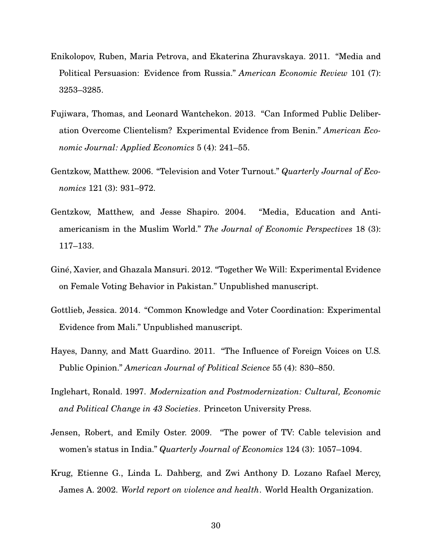- <span id="page-30-4"></span>Enikolopov, Ruben, Maria Petrova, and Ekaterina Zhuravskaya. 2011. "Media and Political Persuasion: Evidence from Russia." *American Economic Review* 101 (7): 3253–3285.
- <span id="page-30-8"></span>Fujiwara, Thomas, and Leonard Wantchekon. 2013. "Can Informed Public Deliberation Overcome Clientelism? Experimental Evidence from Benin." *American Economic Journal: Applied Economics* 5 (4): 241–55.
- <span id="page-30-3"></span>Gentzkow, Matthew. 2006. "Television and Voter Turnout." *Quarterly Journal of Economics* 121 (3): 931–972.
- <span id="page-30-6"></span>Gentzkow, Matthew, and Jesse Shapiro. 2004. "Media, Education and Antiamericanism in the Muslim World." *The Journal of Economic Perspectives* 18 (3): 117–133.
- <span id="page-30-1"></span>Giné, Xavier, and Ghazala Mansuri. 2012. "Together We Will: Experimental Evidence on Female Voting Behavior in Pakistan." Unpublished manuscript.
- <span id="page-30-0"></span>Gottlieb, Jessica. 2014. "Common Knowledge and Voter Coordination: Experimental Evidence from Mali." Unpublished manuscript.
- <span id="page-30-5"></span>Hayes, Danny, and Matt Guardino. 2011. "The Influence of Foreign Voices on U.S. Public Opinion." *American Journal of Political Science* 55 (4): 830–850.
- <span id="page-30-9"></span>Inglehart, Ronald. 1997. *Modernization and Postmodernization: Cultural, Economic and Political Change in 43 Societies*. Princeton University Press.
- <span id="page-30-2"></span>Jensen, Robert, and Emily Oster. 2009. "The power of TV: Cable television and women's status in India." *Quarterly Journal of Economics* 124 (3): 1057–1094.
- <span id="page-30-7"></span>Krug, Etienne G., Linda L. Dahberg, and Zwi Anthony D. Lozano Rafael Mercy, James A. 2002. *World report on violence and health*. World Health Organization.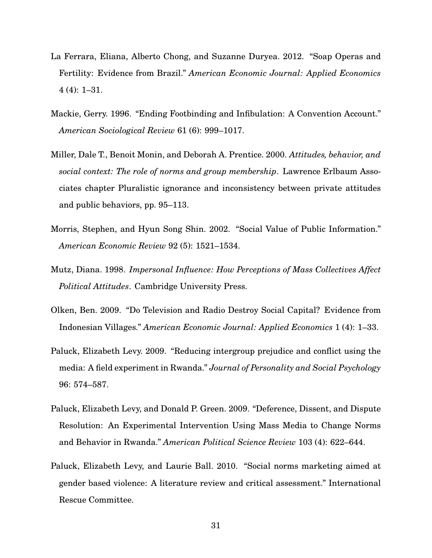- <span id="page-31-3"></span>La Ferrara, Eliana, Alberto Chong, and Suzanne Duryea. 2012. "Soap Operas and Fertility: Evidence from Brazil." *American Economic Journal: Applied Economics* 4 (4): 1–31.
- <span id="page-31-0"></span>Mackie, Gerry. 1996. "Ending Footbinding and Infibulation: A Convention Account." *American Sociological Review* 61 (6): 999–1017.
- <span id="page-31-7"></span>Miller, Dale T., Benoit Monin, and Deborah A. Prentice. 2000. *Attitudes, behavior, and social context: The role of norms and group membership*. Lawrence Erlbaum Associates chapter Pluralistic ignorance and inconsistency between private attitudes and public behaviors, pp. 95–113.
- <span id="page-31-6"></span>Morris, Stephen, and Hyun Song Shin. 2002. "Social Value of Public Information." *American Economic Review* 92 (5): 1521–1534.
- <span id="page-31-5"></span>Mutz, Diana. 1998. *Impersonal Influence: How Perceptions of Mass Collectives Affect Political Attitudes*. Cambridge University Press.
- <span id="page-31-2"></span>Olken, Ben. 2009. "Do Television and Radio Destroy Social Capital? Evidence from Indonesian Villages." *American Economic Journal: Applied Economics* 1 (4): 1–33.
- <span id="page-31-1"></span>Paluck, Elizabeth Levy. 2009. "Reducing intergroup prejudice and conflict using the media: A field experiment in Rwanda." *Journal of Personality and Social Psychology* 96: 574–587.
- <span id="page-31-4"></span>Paluck, Elizabeth Levy, and Donald P. Green. 2009. "Deference, Dissent, and Dispute Resolution: An Experimental Intervention Using Mass Media to Change Norms and Behavior in Rwanda." *American Political Science Review* 103 (4): 622–644.
- <span id="page-31-8"></span>Paluck, Elizabeth Levy, and Laurie Ball. 2010. "Social norms marketing aimed at gender based violence: A literature review and critical assessment." International Rescue Committee.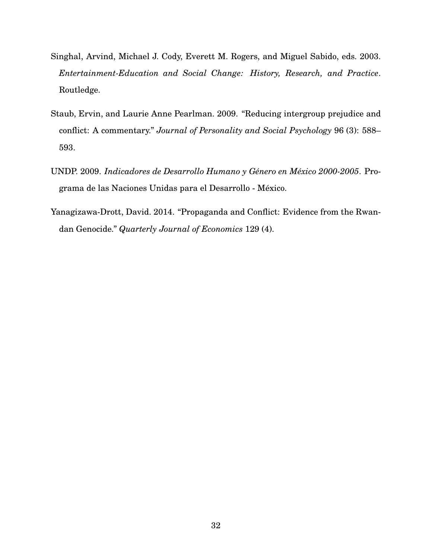- <span id="page-32-3"></span>Singhal, Arvind, Michael J. Cody, Everett M. Rogers, and Miguel Sabido, eds. 2003. *Entertainment-Education and Social Change: History, Research, and Practice*. Routledge.
- <span id="page-32-1"></span>Staub, Ervin, and Laurie Anne Pearlman. 2009. "Reducing intergroup prejudice and conflict: A commentary." *Journal of Personality and Social Psychology* 96 (3): 588– 593.
- <span id="page-32-2"></span>UNDP. 2009. *Indicadores de Desarrollo Humano y Género en México 2000-2005*. Programa de las Naciones Unidas para el Desarrollo - Mexico. ´
- <span id="page-32-0"></span>Yanagizawa-Drott, David. 2014. "Propaganda and Conflict: Evidence from the Rwandan Genocide." *Quarterly Journal of Economics* 129 (4).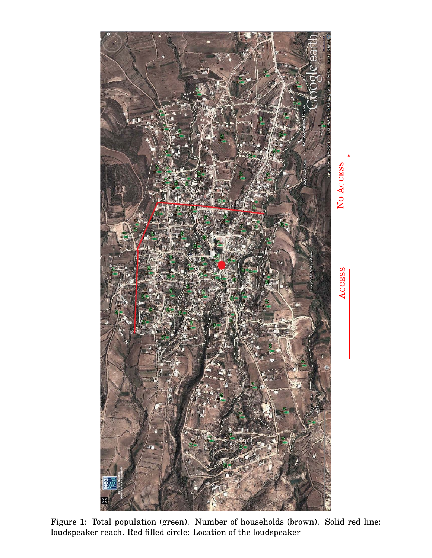<span id="page-33-0"></span>

✲

✛

Figure 1: Total population (green). Number of households (brown). Solid red line: loudspeaker reach. Red filled circle: Location of the loudspeaker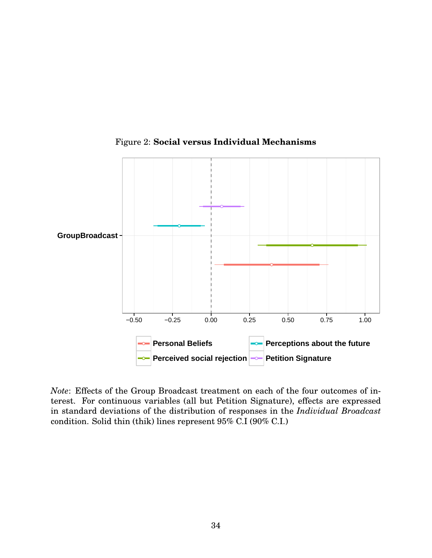<span id="page-34-0"></span>

Figure 2: **Social versus Individual Mechanisms**

*Note*: Effects of the Group Broadcast treatment on each of the four outcomes of interest. For continuous variables (all but Petition Signature), effects are expressed in standard deviations of the distribution of responses in the *Individual Broadcast* condition. Solid thin (thik) lines represent 95% C.I (90% C.I.)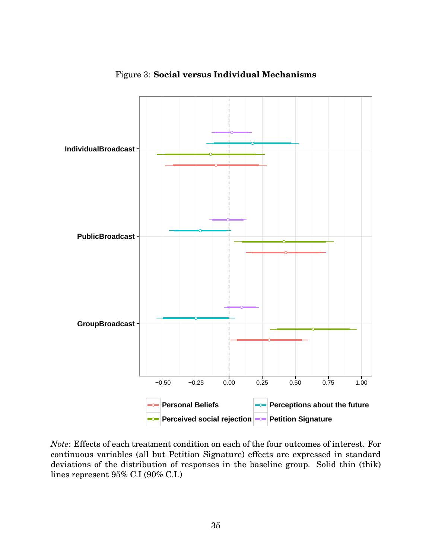<span id="page-35-0"></span>

Figure 3: **Social versus Individual Mechanisms**

*Note*: Effects of each treatment condition on each of the four outcomes of interest. For continuous variables (all but Petition Signature) effects are expressed in standard deviations of the distribution of responses in the baseline group. Solid thin (thik) lines represent 95% C.I (90% C.I.)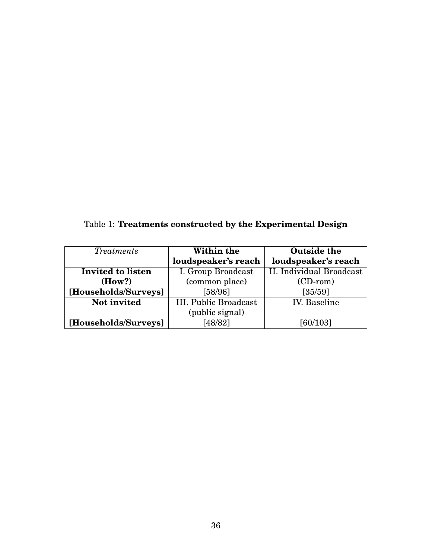<span id="page-36-0"></span>Table 1: **Treatments constructed by the Experimental Design**

| <i>Treatments</i>    | Within the            | <b>Outside the</b>       |  |  |  |
|----------------------|-----------------------|--------------------------|--|--|--|
|                      | loudspeaker's reach   | loudspeaker's reach      |  |  |  |
| Invited to listen    | I. Group Broadcast    | II. Individual Broadcast |  |  |  |
| (How?)               | (common place)        | $(CD-rom)$               |  |  |  |
| [Households/Surveys] | [58/96]               | [35/59]                  |  |  |  |
| Not invited          | III. Public Broadcast | <b>IV.</b> Baseline      |  |  |  |
|                      | (public signal)       |                          |  |  |  |
| [Households/Surveys] | [48/82]               | [60/103]                 |  |  |  |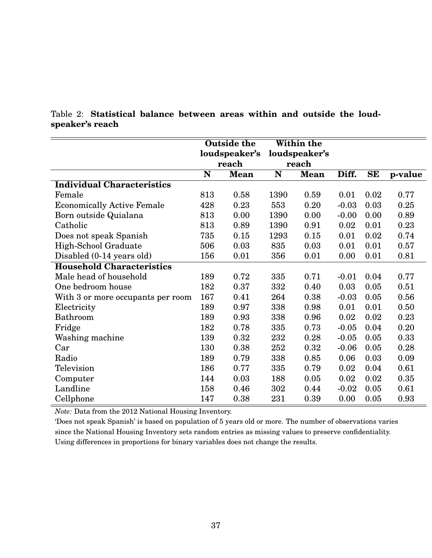|                                   | <b>Outside the</b> |             | Within the    |             |         |           |         |
|-----------------------------------|--------------------|-------------|---------------|-------------|---------|-----------|---------|
|                                   | loudspeaker's      |             | loudspeaker's |             |         |           |         |
|                                   | reach              |             | reach         |             |         |           |         |
|                                   | N                  | <b>Mean</b> | ${\bf N}$     | <b>Mean</b> | Diff.   | <b>SE</b> | p-value |
| <b>Individual Characteristics</b> |                    |             |               |             |         |           |         |
| Female                            | 813                | 0.58        | 1390          | 0.59        | 0.01    | 0.02      | 0.77    |
| <b>Economically Active Female</b> | 428                | 0.23        | 553           | 0.20        | $-0.03$ | 0.03      | 0.25    |
| Born outside Quialana             | 813                | 0.00        | 1390          | 0.00        | $-0.00$ | 0.00      | 0.89    |
| Catholic                          | 813                | 0.89        | 1390          | 0.91        | 0.02    | 0.01      | 0.23    |
| Does not speak Spanish            | 735                | 0.15        | 1293          | 0.15        | 0.01    | 0.02      | 0.74    |
| High-School Graduate              | 506                | 0.03        | 835           | 0.03        | 0.01    | 0.01      | 0.57    |
| Disabled (0-14 years old)         | 156                | 0.01        | 356           | 0.01        | 0.00    | 0.01      | 0.81    |
| <b>Household Characteristics</b>  |                    |             |               |             |         |           |         |
| Male head of household            | 189                | 0.72        | 335           | 0.71        | $-0.01$ | 0.04      | 0.77    |
| One bedroom house                 | 182                | 0.37        | 332           | 0.40        | 0.03    | 0.05      | 0.51    |
| With 3 or more occupants per room | 167                | 0.41        | 264           | 0.38        | $-0.03$ | 0.05      | 0.56    |
| Electricity                       | 189                | 0.97        | 338           | 0.98        | 0.01    | 0.01      | 0.50    |
| Bathroom                          | 189                | 0.93        | 338           | 0.96        | 0.02    | 0.02      | 0.23    |
| Fridge                            | 182                | 0.78        | 335           | 0.73        | $-0.05$ | 0.04      | 0.20    |
| Washing machine                   | 139                | 0.32        | 232           | 0.28        | $-0.05$ | $0.05\,$  | 0.33    |
| Car                               | 130                | 0.38        | 252           | 0.32        | $-0.06$ | 0.05      | 0.28    |
| Radio                             | 189                | 0.79        | 338           | 0.85        | 0.06    | 0.03      | 0.09    |
| Television                        | 186                | 0.77        | 335           | 0.79        | 0.02    | 0.04      | 0.61    |
| Computer                          | 144                | 0.03        | 188           | 0.05        | 0.02    | 0.02      | 0.35    |
| Landline                          | 158                | 0.46        | 302           | 0.44        | $-0.02$ | 0.05      | 0.61    |
| Cellphone                         | 147                | 0.38        | 231           | 0.39        | 0.00    | 0.05      | 0.93    |

### <span id="page-37-0"></span>Table 2: **Statistical balance between areas within and outside the loudspeaker's reach**

*Note:* Data from the 2012 National Housing Inventory.

'Does not speak Spanish' is based on population of 5 years old or more. The number of observations varies since the National Housing Inventory sets random entries as missing values to preserve confidentiality. Using differences in proportions for binary variables does not change the results.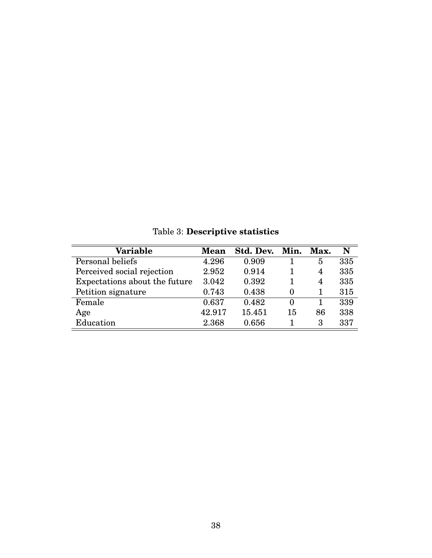<span id="page-38-0"></span>

| Variable                      | <b>Mean</b> | Std. Dev. | Min.     | Max. | N   |
|-------------------------------|-------------|-----------|----------|------|-----|
| Personal beliefs              | 4.296       | 0.909     |          | 5    | 335 |
| Perceived social rejection    | 2.952       | 0.914     |          | 4    | 335 |
| Expectations about the future | 3.042       | 0.392     |          | 4    | 335 |
| Petition signature            | 0.743       | 0.438     | $\Omega$ | 1    | 315 |
| Female                        | 0.637       | 0.482     | $\theta$ | 1    | 339 |
| Age                           | 42.917      | 15.451    | 15       | 86   | 338 |
| Education                     | 2.368       | 0.656     |          | 3    | 337 |

Table 3: **Descriptive statistics**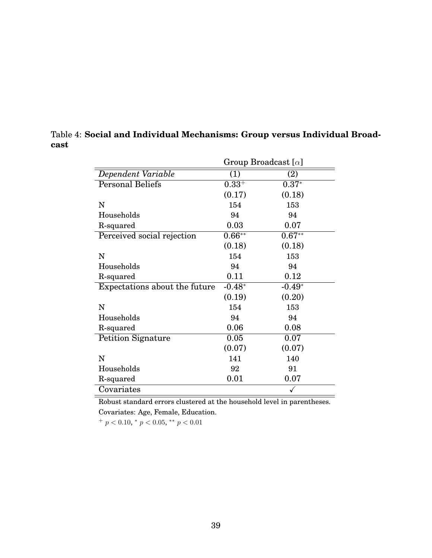|                               |            | Group Broadcast $[\alpha]$ |
|-------------------------------|------------|----------------------------|
| Dependent Variable            | (1)        | (2)                        |
| <b>Personal Beliefs</b>       | $0.33^{+}$ | $0.37*$                    |
|                               | (0.17)     | (0.18)                     |
| N                             | 154        | 153                        |
| Households                    | 94         | 94                         |
| R-squared                     | 0.03       | 0.07                       |
| Perceived social rejection    | $0.66**$   | $0.67**$                   |
|                               | (0.18)     | (0.18)                     |
| N                             | 154        | 153                        |
| Households                    | 94         | 94                         |
| R-squared                     | 0.11       | 0.12                       |
| Expectations about the future | $-0.48*$   | $-0.49*$                   |
|                               | (0.19)     | (0.20)                     |
| N                             | 154        | 153                        |
| Households                    | 94         | 94                         |
| R-squared                     | 0.06       | 0.08                       |
| <b>Petition Signature</b>     | 0.05       | 0.07                       |
|                               | (0.07)     | (0.07)                     |
| N                             | 141        | 140                        |
| Households                    | 92         | 91                         |
| R-squared                     | 0.01       | 0.07                       |
| Covariates                    |            |                            |

### <span id="page-39-0"></span>Table 4: **Social and Individual Mechanisms: Group versus Individual Broadcast**

Robust standard errors clustered at the household level in parentheses. Covariates: Age, Female, Education.

 $^{+}$  p < 0.10,  $^{*}$  p < 0.05,  $^{**}$  p < 0.01